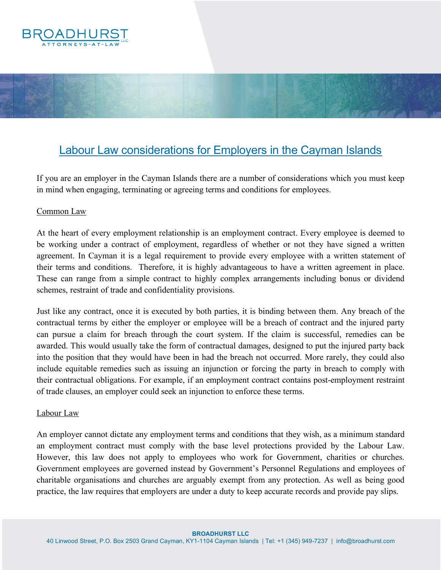

# Labour Law considerations for Employers in the Cayman Islands

If you are an employer in the Cayman Islands there are a number of considerations which you must keep in mind when engaging, terminating or agreeing terms and conditions for employees.

## Common Law

At the heart of every employment relationship is an employment contract. Every employee is deemed to be working under a contract of employment, regardless of whether or not they have signed a written agreement. In Cayman it is a legal requirement to provide every employee with a written statement of their terms and conditions. Therefore, it is highly advantageous to have a written agreement in place. These can range from a simple contract to highly complex arrangements including bonus or dividend schemes, restraint of trade and confidentiality provisions.

Just like any contract, once it is executed by both parties, it is binding between them. Any breach of the contractual terms by either the employer or employee will be a breach of contract and the injured party can pursue a claim for breach through the court system. If the claim is successful, remedies can be awarded. This would usually take the form of contractual damages, designed to put the injured party back into the position that they would have been in had the breach not occurred. More rarely, they could also include equitable remedies such as issuing an injunction or forcing the party in breach to comply with their contractual obligations. For example, if an employment contract contains post-employment restraint of trade clauses, an employer could seek an injunction to enforce these terms.

#### Labour Law

An employer cannot dictate any employment terms and conditions that they wish, as a minimum standard an employment contract must comply with the base level protections provided by the Labour Law. However, this law does not apply to employees who work for Government, charities or churches. Government employees are governed instead by Government's Personnel Regulations and employees of charitable organisations and churches are arguably exempt from any protection. As well as being good practice, the law requires that employers are under a duty to keep accurate records and provide pay slips.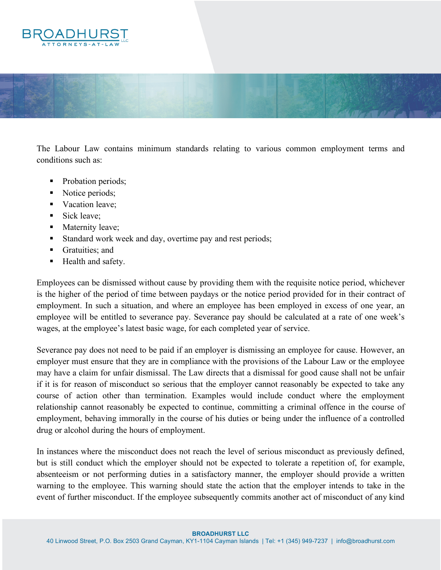



The Labour Law contains minimum standards relating to various common employment terms and conditions such as:

- Probation periods;
- Notice periods;
- Vacation leave;
- Sick leave:
- Maternity leave;
- Standard work week and day, overtime pay and rest periods;
- Gratuities; and
- Health and safety.

Employees can be dismissed without cause by providing them with the requisite notice period, whichever is the higher of the period of time between paydays or the notice period provided for in their contract of employment. In such a situation, and where an employee has been employed in excess of one year, an employee will be entitled to severance pay. Severance pay should be calculated at a rate of one week's wages, at the employee's latest basic wage, for each completed year of service.

Severance pay does not need to be paid if an employer is dismissing an employee for cause. However, an employer must ensure that they are in compliance with the provisions of the Labour Law or the employee may have a claim for unfair dismissal. The Law directs that a dismissal for good cause shall not be unfair if it is for reason of misconduct so serious that the employer cannot reasonably be expected to take any course of action other than termination. Examples would include conduct where the employment relationship cannot reasonably be expected to continue, committing a criminal offence in the course of employment, behaving immorally in the course of his duties or being under the influence of a controlled drug or alcohol during the hours of employment.

In instances where the misconduct does not reach the level of serious misconduct as previously defined, but is still conduct which the employer should not be expected to tolerate a repetition of, for example, absenteeism or not performing duties in a satisfactory manner, the employer should provide a written warning to the employee. This warning should state the action that the employer intends to take in the event of further misconduct. If the employee subsequently commits another act of misconduct of any kind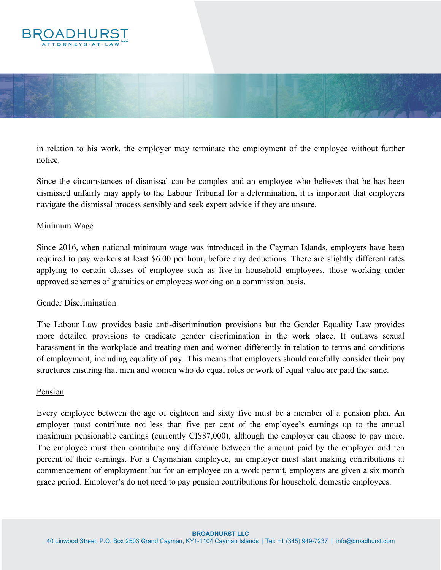



in relation to his work, the employer may terminate the employment of the employee without further notice.

Since the circumstances of dismissal can be complex and an employee who believes that he has been dismissed unfairly may apply to the Labour Tribunal for a determination, it is important that employers navigate the dismissal process sensibly and seek expert advice if they are unsure.

## Minimum Wage

Since 2016, when national minimum wage was introduced in the Cayman Islands, employers have been required to pay workers at least \$6.00 per hour, before any deductions. There are slightly different rates applying to certain classes of employee such as live-in household employees, those working under approved schemes of gratuities or employees working on a commission basis.

#### Gender Discrimination

The Labour Law provides basic anti-discrimination provisions but the Gender Equality Law provides more detailed provisions to eradicate gender discrimination in the work place. It outlaws sexual harassment in the workplace and treating men and women differently in relation to terms and conditions of employment, including equality of pay. This means that employers should carefully consider their pay structures ensuring that men and women who do equal roles or work of equal value are paid the same.

#### Pension

Every employee between the age of eighteen and sixty five must be a member of a pension plan. An employer must contribute not less than five per cent of the employee's earnings up to the annual maximum pensionable earnings (currently CI\$87,000), although the employer can choose to pay more. The employee must then contribute any difference between the amount paid by the employer and ten percent of their earnings. For a Caymanian employee, an employer must start making contributions at commencement of employment but for an employee on a work permit, employers are given a six month grace period. Employer's do not need to pay pension contributions for household domestic employees.